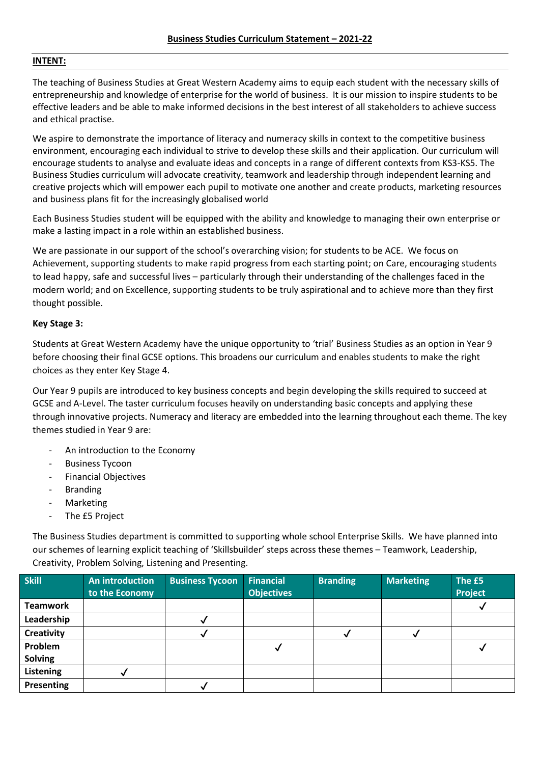## **INTENT:**

The teaching of Business Studies at Great Western Academy aims to equip each student with the necessary skills of entrepreneurship and knowledge of enterprise for the world of business. It is our mission to inspire students to be effective leaders and be able to make informed decisions in the best interest of all stakeholders to achieve success and ethical practise.

We aspire to demonstrate the importance of literacy and numeracy skills in context to the competitive business environment, encouraging each individual to strive to develop these skills and their application. Our curriculum will encourage students to analyse and evaluate ideas and concepts in a range of different contexts from KS3-KS5. The Business Studies curriculum will advocate creativity, teamwork and leadership through independent learning and creative projects which will empower each pupil to motivate one another and create products, marketing resources and business plans fit for the increasingly globalised world

Each Business Studies student will be equipped with the ability and knowledge to managing their own enterprise or make a lasting impact in a role within an established business.

We are passionate in our support of the school's overarching vision; for students to be ACE. We focus on Achievement, supporting students to make rapid progress from each starting point; on Care, encouraging students to lead happy, safe and successful lives – particularly through their understanding of the challenges faced in the modern world; and on Excellence, supporting students to be truly aspirational and to achieve more than they first thought possible.

# **Key Stage 3:**

Students at Great Western Academy have the unique opportunity to 'trial' Business Studies as an option in Year 9 before choosing their final GCSE options. This broadens our curriculum and enables students to make the right choices as they enter Key Stage 4.

Our Year 9 pupils are introduced to key business concepts and begin developing the skills required to succeed at GCSE and A-Level. The taster curriculum focuses heavily on understanding basic concepts and applying these through innovative projects. Numeracy and literacy are embedded into the learning throughout each theme. The key themes studied in Year 9 are:

- An introduction to the Economy
- **Business Tycoon**
- Financial Objectives
- **Branding**
- **Marketing**
- The £5 Project

The Business Studies department is committed to supporting whole school Enterprise Skills. We have planned into our schemes of learning explicit teaching of 'Skillsbuilder' steps across these themes – Teamwork, Leadership, Creativity, Problem Solving, Listening and Presenting.

| Skill             | <b>An introduction</b><br>to the Economy | <b>Business Tycoon</b> | <b>Financial</b><br><b>Objectives</b> | <b>Branding</b> | <b>Marketing</b> | The £5<br>Project |
|-------------------|------------------------------------------|------------------------|---------------------------------------|-----------------|------------------|-------------------|
| <b>Teamwork</b>   |                                          |                        |                                       |                 |                  |                   |
| Leadership        |                                          |                        |                                       |                 |                  |                   |
| <b>Creativity</b> |                                          |                        |                                       |                 |                  |                   |
| Problem           |                                          |                        |                                       |                 |                  |                   |
| <b>Solving</b>    |                                          |                        |                                       |                 |                  |                   |
| Listening         |                                          |                        |                                       |                 |                  |                   |
| <b>Presenting</b> |                                          |                        |                                       |                 |                  |                   |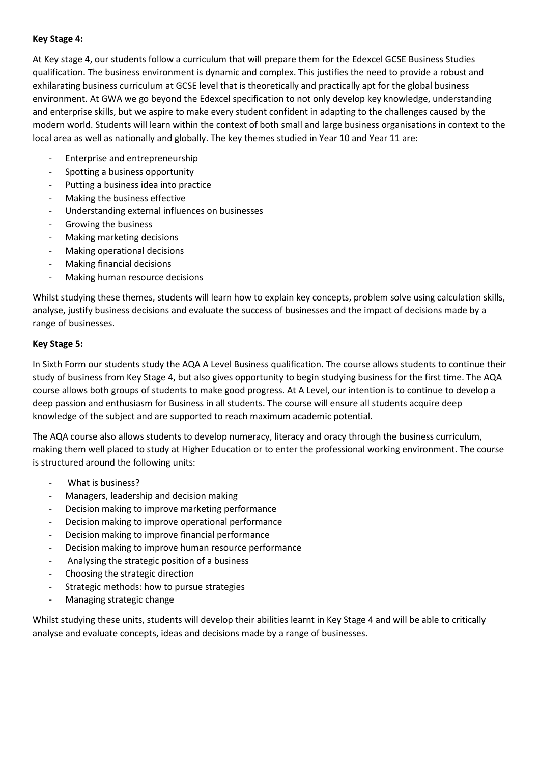# **Key Stage 4:**

At Key stage 4, our students follow a curriculum that will prepare them for the Edexcel GCSE Business Studies qualification. The business environment is dynamic and complex. This justifies the need to provide a robust and exhilarating business curriculum at GCSE level that is theoretically and practically apt for the global business environment. At GWA we go beyond the Edexcel specification to not only develop key knowledge, understanding and enterprise skills, but we aspire to make every student confident in adapting to the challenges caused by the modern world. Students will learn within the context of both small and large business organisations in context to the local area as well as nationally and globally. The key themes studied in Year 10 and Year 11 are:

- Enterprise and entrepreneurship
- Spotting a business opportunity
- Putting a business idea into practice
- Making the business effective
- Understanding external influences on businesses
- Growing the business
- Making marketing decisions
- Making operational decisions
- Making financial decisions
- Making human resource decisions

Whilst studying these themes, students will learn how to explain key concepts, problem solve using calculation skills, analyse, justify business decisions and evaluate the success of businesses and the impact of decisions made by a range of businesses.

# **Key Stage 5:**

In Sixth Form our students study the AQA A Level Business qualification. The course allows students to continue their study of business from Key Stage 4, but also gives opportunity to begin studying business for the first time. The AQA course allows both groups of students to make good progress. At A Level, our intention is to continue to develop a deep passion and enthusiasm for Business in all students. The course will ensure all students acquire deep knowledge of the subject and are supported to reach maximum academic potential.

The AQA course also allows students to develop numeracy, literacy and oracy through the business curriculum, making them well placed to study at Higher Education or to enter the professional working environment. The course is structured around the following units:

- What is business?
- Managers, leadership and decision making
- Decision making to improve marketing performance
- Decision making to improve operational performance
- Decision making to improve financial performance
- Decision making to improve human resource performance
- Analysing the strategic position of a business
- Choosing the strategic direction
- Strategic methods: how to pursue strategies
- Managing strategic change

Whilst studying these units, students will develop their abilities learnt in Key Stage 4 and will be able to critically analyse and evaluate concepts, ideas and decisions made by a range of businesses.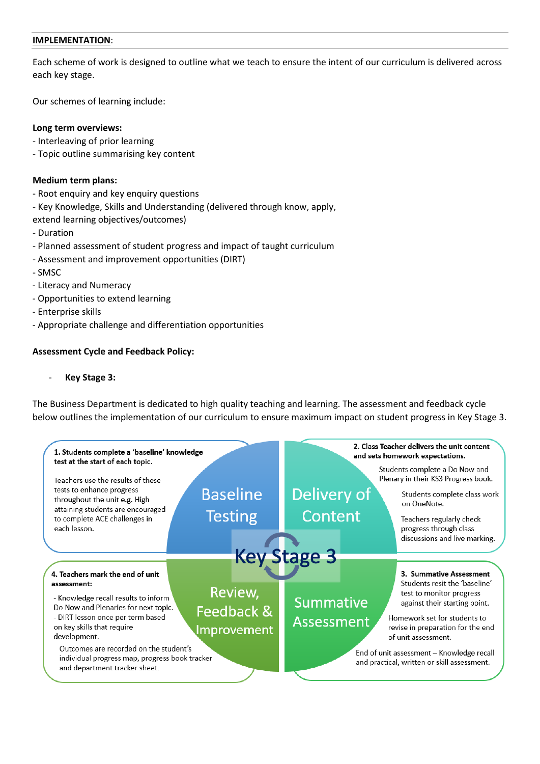## **IMPLEMENTATION**:

Each scheme of work is designed to outline what we teach to ensure the intent of our curriculum is delivered across each key stage.

Our schemes of learning include:

## **Long term overviews:**

- Interleaving of prior learning
- Topic outline summarising key content

# **Medium term plans:**

- Root enquiry and key enquiry questions
- Key Knowledge, Skills and Understanding (delivered through know, apply,
- extend learning objectives/outcomes)
- Duration
- Planned assessment of student progress and impact of taught curriculum
- Assessment and improvement opportunities (DIRT)
- SMSC
- Literacy and Numeracy
- Opportunities to extend learning
- Enterprise skills
- Appropriate challenge and differentiation opportunities

# **Assessment Cycle and Feedback Policy:**

- **Key Stage 3:**

The Business Department is dedicated to high quality teaching and learning. The assessment and feedback cycle below outlines the implementation of our curriculum to ensure maximum impact on student progress in Key Stage 3.